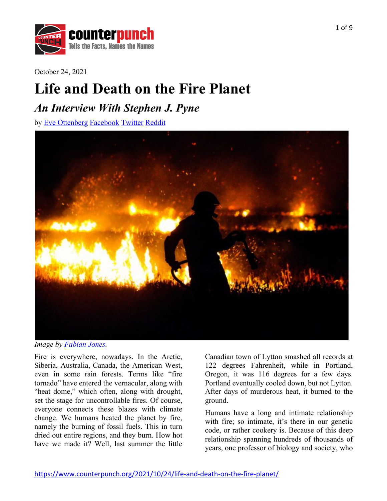

October 24, 2021

# **Life and Death on the Fire Planet**

# *An Interview With Stephen J. Pyne*

by Eve Ottenberg Facebook Twitter Reddit



*Image by Fabian Jones.*

Fire is everywhere, nowadays. In the Arctic, Siberia, Australia, Canada, the American West, even in some rain forests. Terms like "fire tornado" have entered the vernacular, along with "heat dome," which often, along with drought, set the stage for uncontrollable fires. Of course, everyone connects these blazes with climate change. We humans heated the planet by fire, namely the burning of fossil fuels. This in turn dried out entire regions, and they burn. How hot have we made it? Well, last summer the little

Canadian town of Lytton smashed all records at 122 degrees Fahrenheit, while in Portland, Oregon, it was 116 degrees for a few days. Portland eventually cooled down, but not Lytton. After days of murderous heat, it burned to the ground.

Humans have a long and intimate relationship with fire; so intimate, it's there in our genetic code, or rather cookery is. Because of this deep relationship spanning hundreds of thousands of years, one professor of biology and society, who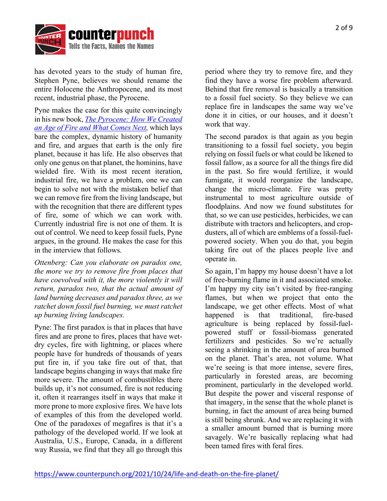

has devoted years to the study of human fire, Stephen Pyne, believes we should rename the entire Holocene the Anthropocene, and its most recent, industrial phase, the Pyrocene.

Pyne makes the case for this quite convincingly in his new book, *The Pyrocene: How We Created an Age of Fire and What Comes Next,* which lays bare the complex, dynamic history of humanity and fire, and argues that earth is the only fire planet, because it has life. He also observes that only one genus on that planet, the hominins, have wielded fire. With its most recent iteration, industrial fire, we have a problem, one we can begin to solve not with the mistaken belief that we can remove fire from the living landscape, but with the recognition that there are different types of fire, some of which we can work with. Currently industrial fire is not one of them. It is out of control. We need to keep fossil fuels, Pyne argues, in the ground. He makes the case for this in the interview that follows.

*Ottenberg: Can you elaborate on paradox one, the more we try to remove fire from places that have coevolved with it, the more violently it will return, paradox two, that the actual amount of land burning decreases and paradox three, as we ratchet down fossil fuel burning, we must ratchet up burning living landscapes.*

Pyne: The first paradox is that in places that have fires and are prone to fires, places that have wetdry cycles, fire with lightning, or places where people have for hundreds of thousands of years put fire in, if you take fire out of that, that landscape begins changing in ways that make fire more severe. The amount of combustibles there builds up, it's not consumed, fire is not reducing it, often it rearranges itself in ways that make it more prone to more explosive fires. We have lots of examples of this from the developed world. One of the paradoxes of megafires is that it's a pathology of the developed world. If we look at Australia, U.S., Europe, Canada, in a different way Russia, we find that they all go through this

period where they try to remove fire, and they find they have a worse fire problem afterward. Behind that fire removal is basically a transition to a fossil fuel society. So they believe we can replace fire in landscapes the same way we've done it in cities, or our houses, and it doesn't work that way.

The second paradox is that again as you begin transitioning to a fossil fuel society, you begin relying on fossil fuels or what could be likened to fossil fallow, as a source for all the things fire did in the past. So fire would fertilize, it would fumigate, it would reorganize the landscape, change the micro-climate. Fire was pretty instrumental to most agriculture outside of floodplains. And now we found substitutes for that, so we can use pesticides, herbicides, we can distribute with tractors and helicopters, and cropdusters, all of which are emblems of a fossil-fuelpowered society. When you do that, you begin taking fire out of the places people live and operate in.

So again, I'm happy my house doesn't have a lot of free-burning flame in it and associated smoke. I'm happy my city isn't visited by free-ranging flames, but when we project that onto the landscape, we get other effects. Most of what happened is that traditional, fire-based agriculture is being replaced by fossil-fuelpowered stuff or fossil-biomass generated fertilizers and pesticides. So we're actually seeing a shrinking in the amount of area burned on the planet. That's area, not volume. What we're seeing is that more intense, severe fires, particularly in forested areas, are becoming prominent, particularly in the developed world. But despite the power and visceral response of that imagery, in the sense that the whole planet is burning, in fact the amount of area being burned is still being shrunk. And we are replacing it with a smaller amount burned that is burning more savagely. We're basically replacing what had been tamed fires with feral fires.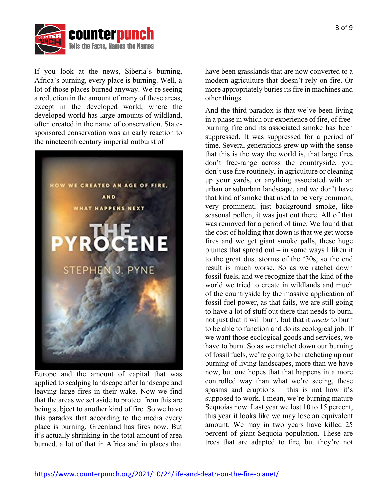

If you look at the news, Siberia's burning, Africa's burning, every place is burning. Well, a lot of those places burned anyway. We're seeing a reduction in the amount of many of these areas, except in the developed world, where the developed world has large amounts of wildland, often created in the name of conservation. Statesponsored conservation was an early reaction to the nineteenth century imperial outburst of



Europe and the amount of capital that was applied to scalping landscape after landscape and leaving large fires in their wake. Now we find that the areas we set aside to protect from this are being subject to another kind of fire. So we have this paradox that according to the media every place is burning. Greenland has fires now. But it's actually shrinking in the total amount of area burned, a lot of that in Africa and in places that

have been grasslands that are now converted to a modern agriculture that doesn't rely on fire. Or more appropriately buries its fire in machines and other things.

And the third paradox is that we've been living in a phase in which our experience of fire, of freeburning fire and its associated smoke has been suppressed. It was suppressed for a period of time. Several generations grew up with the sense that this is the way the world is, that large fires don't free-range across the countryside, you don't use fire routinely, in agriculture or cleaning up your yards, or anything associated with an urban or suburban landscape, and we don't have that kind of smoke that used to be very common, very prominent, just background smoke, like seasonal pollen, it was just out there. All of that was removed for a period of time. We found that the cost of holding that down is that we get worse fires and we get giant smoke palls, these huge plumes that spread out – in some ways I liken it to the great dust storms of the '30s, so the end result is much worse. So as we ratchet down fossil fuels, and we recognize that the kind of the world we tried to create in wildlands and much of the countryside by the massive application of fossil fuel power, as that fails, we are still going to have a lot of stuff out there that needs to burn, not just that it will burn, but that it *needs* to burn to be able to function and do its ecological job. If we want those ecological goods and services, we have to burn. So as we ratchet down our burning of fossil fuels, we're going to be ratcheting up our burning of living landscapes, more than we have now, but one hopes that that happens in a more controlled way than what we're seeing, these spasms and eruptions – this is not how it's supposed to work. I mean, we're burning mature Sequoias now. Last year we lost 10 to 15 percent, this year it looks like we may lose an equivalent amount. We may in two years have killed 25 percent of giant Sequoia population. These are trees that are adapted to fire, but they're not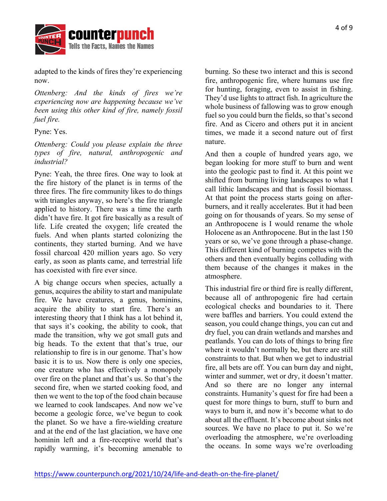

adapted to the kinds of fires they're experiencing now.

*Ottenberg: And the kinds of fires we're experiencing now are happening because we've been using this other kind of fire, namely fossil fuel fire.*

Pyne: Yes.

*Ottenberg: Could you please explain the three types of fire, natural, anthropogenic and industrial?*

Pyne: Yeah, the three fires. One way to look at the fire history of the planet is in terms of the three fires. The fire community likes to do things with triangles anyway, so here's the fire triangle applied to history. There was a time the earth didn't have fire. It got fire basically as a result of life. Life created the oxygen; life created the fuels. And when plants started colonizing the continents, they started burning. And we have fossil charcoal 420 million years ago. So very early, as soon as plants came, and terrestrial life has coexisted with fire ever since.

A big change occurs when species, actually a genus, acquires the ability to start and manipulate fire. We have creatures, a genus, hominins, acquire the ability to start fire. There's an interesting theory that I think has a lot behind it, that says it's cooking, the ability to cook, that made the transition, why we got small guts and big heads. To the extent that that's true, our relationship to fire is in our genome. That's how basic it is to us. Now there is only one species, one creature who has effectively a monopoly over fire on the planet and that's us. So that's the second fire, when we started cooking food, and then we went to the top of the food chain because we learned to cook landscapes. And now we've become a geologic force, we've begun to cook the planet. So we have a fire-wielding creature and at the end of the last glaciation, we have one hominin left and a fire-receptive world that's rapidly warming, it's becoming amenable to

burning. So these two interact and this is second fire, anthropogenic fire, where humans use fire for hunting, foraging, even to assist in fishing. They'd use lights to attract fish. In agriculture the whole business of fallowing was to grow enough fuel so you could burn the fields, so that's second fire. And as Cicero and others put it in ancient times, we made it a second nature out of first nature.

And then a couple of hundred years ago, we began looking for more stuff to burn and went into the geologic past to find it. At this point we shifted from burning living landscapes to what I call lithic landscapes and that is fossil biomass. At that point the process starts going on afterburners, and it really accelerates. But it had been going on for thousands of years. So my sense of an Anthropocene is I would rename the whole Holocene as an Anthropocene. But in the last 150 years or so, we've gone through a phase-change. This different kind of burning competes with the others and then eventually begins colluding with them because of the changes it makes in the atmosphere.

This industrial fire or third fire is really different, because all of anthropogenic fire had certain ecological checks and boundaries to it. There were baffles and barriers. You could extend the season, you could change things, you can cut and dry fuel, you can drain wetlands and marshes and peatlands. You can do lots of things to bring fire where it wouldn't normally be, but there are still constraints to that. But when we get to industrial fire, all bets are off. You can burn day and night, winter and summer, wet or dry, it doesn't matter. And so there are no longer any internal constraints. Humanity's quest for fire had been a quest for more things to burn, stuff to burn and ways to burn it, and now it's become what to do about all the effluent. It's become about sinks not sources. We have no place to put it. So we're overloading the atmosphere, we're overloading the oceans. In some ways we're overloading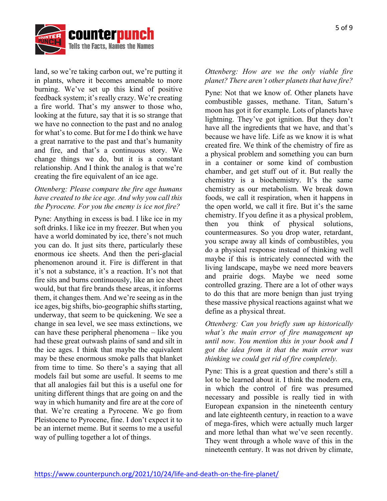

land, so we're taking carbon out, we're putting it in plants, where it becomes amenable to more burning. We've set up this kind of positive feedback system; it's really crazy. We're creating a fire world. That's my answer to those who, looking at the future, say that it is so strange that we have no connection to the past and no analog for what's to come. But for me I do think we have a great narrative to the past and that's humanity and fire, and that's a continuous story. We change things we do, but it is a constant relationship. And I think the analog is that we're creating the fire equivalent of an ice age.

# *Ottenberg: Please compare the fire age humans have created to the ice age. And why you call this the Pyrocene. For you the enemy is ice not fire?*

Pyne: Anything in excess is bad. I like ice in my soft drinks. I like ice in my freezer. But when you have a world dominated by ice, there's not much you can do. It just sits there, particularly these enormous ice sheets. And then the peri-glacial phenomenon around it. Fire is different in that it's not a substance, it's a reaction. It's not that fire sits and burns continuously, like an ice sheet would, but that fire brands these areas, it informs them, it changes them. And we're seeing as in the ice ages, big shifts, bio-geographic shifts starting, underway, that seem to be quickening. We see a change in sea level, we see mass extinctions, we can have these peripheral phenomena – like you had these great outwash plains of sand and silt in the ice ages. I think that maybe the equivalent may be these enormous smoke palls that blanket from time to time. So there's a saying that all models fail but some are useful. It seems to me that all analogies fail but this is a useful one for uniting different things that are going on and the way in which humanity and fire are at the core of that. We're creating a Pyrocene. We go from Pleistocene to Pyrocene, fine. I don't expect it to be an internet meme. But it seems to me a useful way of pulling together a lot of things.

### *Ottenberg: How are we the only viable fire planet? There aren't other planets that have fire?*

Pyne: Not that we know of. Other planets have combustible gasses, methane. Titan, Saturn's moon has got it for example. Lots of planets have lightning. They've got ignition. But they don't have all the ingredients that we have, and that's because we have life. Life as we know it is what created fire. We think of the chemistry of fire as a physical problem and something you can burn in a container or some kind of combustion chamber, and get stuff out of it. But really the chemistry is a biochemistry. It's the same chemistry as our metabolism. We break down foods, we call it respiration, when it happens in the open world, we call it fire. But it's the same chemistry. If you define it as a physical problem, then you think of physical solutions, countermeasures. So you drop water, retardant, you scrape away all kinds of combustibles, you do a physical response instead of thinking well maybe if this is intricately connected with the living landscape, maybe we need more beavers and prairie dogs. Maybe we need some controlled grazing. There are a lot of other ways to do this that are more benign than just trying these massive physical reactions against what we define as a physical threat.

*Ottenberg: Can you briefly sum up historically what's the main error of fire management up until now. You mention this in your book and I got the idea from it that the main error was thinking we could get rid of fire completely.*

Pyne: This is a great question and there's still a lot to be learned about it. I think the modern era, in which the control of fire was presumed necessary and possible is really tied in with European expansion in the nineteenth century and late eighteenth century, in reaction to a wave of mega-fires, which were actually much larger and more lethal than what we've seen recently. They went through a whole wave of this in the nineteenth century. It was not driven by climate,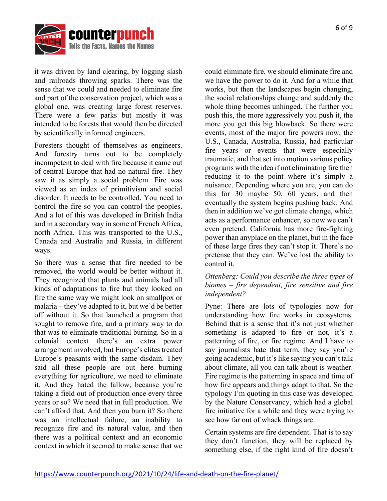



it was driven by land clearing, by logging slash and railroads throwing sparks. There was the sense that we could and needed to eliminate fire and part of the conservation project, which was a global one, was creating large forest reserves. There were a few parks but mostly it was intended to be forests that would then be directed by scientifically informed engineers.

Foresters thought of themselves as engineers. And forestry turns out to be completely incompetent to deal with fire because it came out of central Europe that had no natural fire. They saw it as simply a social problem. Fire was viewed as an index of primitivism and social disorder. It needs to be controlled. You need to control the fire so you can control the peoples. And a lot of this was developed in British India and in a secondary way in some of French Africa, north Africa. This was transported to the U.S., Canada and Australia and Russia, in different ways.

So there was a sense that fire needed to be removed, the world would be better without it. They recognized that plants and animals had all kinds of adaptations to fire but they looked on fire the same way we might look on smallpox or malaria – they've adapted to it, but we'd be better off without it. So that launched a program that sought to remove fire, and a primary way to do that was to eliminate traditional burning. So in a colonial context there's an extra power arrangement involved, but Europe's elites treated Europe's peasants with the same disdain. They said all these people are out here burning everything for agriculture, we need to eliminate it. And they hated the fallow, because you're taking a field out of production once every three years or so? We need that in full production. We can't afford that. And then you burn it? So there was an intellectual failure, an inability to recognize fire and its natural value, and then there was a political context and an economic context in which it seemed to make sense that we

could eliminate fire, we should eliminate fire and we have the power to do it. And for a while that works, but then the landscapes begin changing, the social relationships change and suddenly the whole thing becomes unhinged. The further you push this, the more aggressively you push it, the more you get this big blowback. So there were events, most of the major fire powers now, the U.S., Canada, Australia, Russia, had particular fire years or events that were especially traumatic, and that set into motion various policy programs with the idea if not eliminating fire then reducing it to the point where it's simply a nuisance. Depending where you are, you can do this for 30 maybe 50, 60 years, and then eventually the system begins pushing back. And then in addition we've got climate change, which acts as a performance enhancer, so now we can't even pretend. California has more fire-fighting power than anyplace on the planet, but in the face of these large fires they can't stop it. There's no pretense that they can. We've lost the ability to control it.

# *Ottenberg: Could you describe the three types of biomes – fire dependent, fire sensitive and fire independent?*

Pyne: There are lots of typologies now for understanding how fire works in ecosystems. Behind that is a sense that it's not just whether something is adapted to fire or not, it's a patterning of fire, or fire regime. And I have to say journalists hate that term, they say you're going academic, but it's like saying you can't talk about climate, all you can talk about is weather. Fire regime is the patterning in space and time of how fire appears and things adapt to that. So the typology I'm quoting in this case was developed by the Nature Conservancy, which had a global fire initiative for a while and they were trying to see how far out of whack things are.

Certain systems are fire dependent. That is to say they don't function, they will be replaced by something else, if the right kind of fire doesn't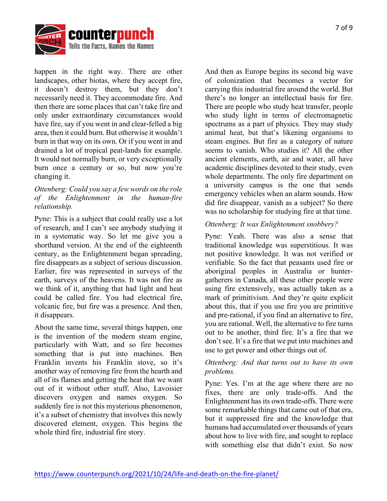

happen in the right way. There are other landscapes, other biotas, where they accept fire, it doesn't destroy them, but they don't necessarily need it. They accommodate fire. And then there are some places that can't take fire and only under extraordinary circumstances would have fire, say if you went in and clear-felled a big area, then it could burn. But otherwise it wouldn't burn in that way on its own. Or if you went in and drained a lot of tropical peat-lands for example. It would not normally burn, or very exceptionally burn once a century or so, but now you're changing it.

#### *Ottenberg: Could you say a few words on the role of the Enlightenment in the human-fire relationship.*

Pyne: This is a subject that could really use a lot of research, and I can't see anybody studying it in a systematic way. So let me give you a shorthand version. At the end of the eighteenth century, as the Enlightenment began spreading, fire disappears as a subject of serious discussion. Earlier, fire was represented in surveys of the earth, surveys of the heavens. It was not fire as we think of it, anything that had light and heat could be called fire. You had electrical fire, volcanic fire, but fire was a presence. And then, it disappears.

About the same time, several things happen, one is the invention of the modern steam engine, particularly with Watt, and so fire becomes something that is put into machines. Ben Franklin invents his Franklin stove, so it's another way of removing fire from the hearth and all of its flames and getting the heat that we want out of it without other stuff. Also, Lavoisier discovers oxygen and names oxygen. So suddenly fire is not this mysterious phenomenon, it's a subset of chemistry that involves this newly discovered element, oxygen. This begins the whole third fire, industrial fire story.

And then as Europe begins its second big wave of colonization that becomes a vector for carrying this industrial fire around the world. But there's no longer an intellectual basis for fire. There are people who study heat transfer, people who study light in terms of electromagnetic spectrums as a part of physics. They may study animal heat, but that's likening organisms to steam engines. But fire as a category of nature seems to vanish. Who studies it? All the other ancient elements, earth, air and water, all have academic disciplines devoted to their study, even whole departments. The only fire department on a university campus is the one that sends emergency vehicles when an alarm sounds. How did fire disappear, vanish as a subject? So there was no scholarship for studying fire at that time.

#### *Ottenberg: It was Enlightenment snobbery?*

Pyne: Yeah. There was also a sense that traditional knowledge was superstitious. It was not positive knowledge. It was not verified or verifiable. So the fact that peasants used fire or aboriginal peoples in Australia or huntergatherers in Canada, all these other people were using fire extensively, was actually taken as a mark of primitivism. And they're quite explicit about this, that if you use fire you are primitive and pre-rational, if you find an alternative to fire, you are rational. Well, the alternative to fire turns out to be another, third fire. It's a fire that we don't see. It's a fire that we put into machines and use to get power and other things out of.

#### *Ottenberg: And that turns out to have its own problems.*

Pyne: Yes. I'm at the age where there are no fixes, there are only trade-offs. And the Enlightenment has its own trade-offs. There were some remarkable things that came out of that era, but it suppressed fire and the knowledge that humans had accumulated over thousands of years about how to live with fire, and sought to replace with something else that didn't exist. So now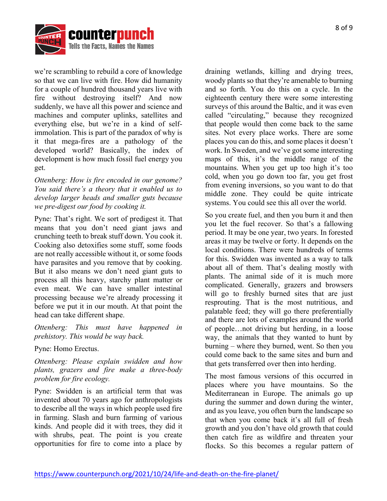

we're scrambling to rebuild a core of knowledge so that we can live with fire. How did humanity for a couple of hundred thousand years live with fire without destroying itself? And now suddenly, we have all this power and science and machines and computer uplinks, satellites and everything else, but we're in a kind of selfimmolation. This is part of the paradox of why is it that mega-fires are a pathology of the developed world? Basically, the index of development is how much fossil fuel energy you get.

*Ottenberg: How is fire encoded in our genome? You said there's a theory that it enabled us to develop larger heads and smaller guts because we pre-digest our food by cooking it.*

Pyne: That's right. We sort of predigest it. That means that you don't need giant jaws and crunching teeth to break stuff down. You cook it. Cooking also detoxifies some stuff, some foods are not really accessible without it, or some foods have parasites and you remove that by cooking. But it also means we don't need giant guts to process all this heavy, starchy plant matter or even meat. We can have smaller intestinal processing because we're already processing it before we put it in our mouth. At that point the head can take different shape.

*Ottenberg: This must have happened in prehistory. This would be way back.*

Pyne: Homo Erectus.

*Ottenberg: Please explain swidden and how plants, grazers and fire make a three-body problem for fire ecology.*

Pyne: Swidden is an artificial term that was invented about 70 years ago for anthropologists to describe all the ways in which people used fire in farming. Slash and burn farming of various kinds. And people did it with trees, they did it with shrubs, peat. The point is you create opportunities for fire to come into a place by

draining wetlands, killing and drying trees, woody plants so that they're amenable to burning and so forth. You do this on a cycle. In the eighteenth century there were some interesting surveys of this around the Baltic, and it was even called "circulating," because they recognized that people would then come back to the same sites. Not every place works. There are some places you can do this, and some places it doesn't work. In Sweden, and we've got some interesting maps of this, it's the middle range of the mountains. When you get up too high it's too cold, when you go down too far, you get frost from evening inversions, so you want to do that middle zone. They could be quite intricate systems. You could see this all over the world.

So you create fuel, and then you burn it and then you let the fuel recover. So that's a fallowing period. It may be one year, two years. In forested areas it may be twelve or forty. It depends on the local conditions. There were hundreds of terms for this. Swidden was invented as a way to talk about all of them. That's dealing mostly with plants. The animal side of it is much more complicated. Generally, grazers and browsers will go to freshly burned sites that are just resprouting. That is the most nutritious, and palatable feed; they will go there preferentially and there are lots of examples around the world of people…not driving but herding, in a loose way, the animals that they wanted to hunt by burning – where they burned, went. So then you could come back to the same sites and burn and that gets transferred over then into herding.

The most famous versions of this occurred in places where you have mountains. So the Mediterranean in Europe. The animals go up during the summer and down during the winter, and as you leave, you often burn the landscape so that when you come back it's all full of fresh growth and you don't have old growth that could then catch fire as wildfire and threaten your flocks. So this becomes a regular pattern of